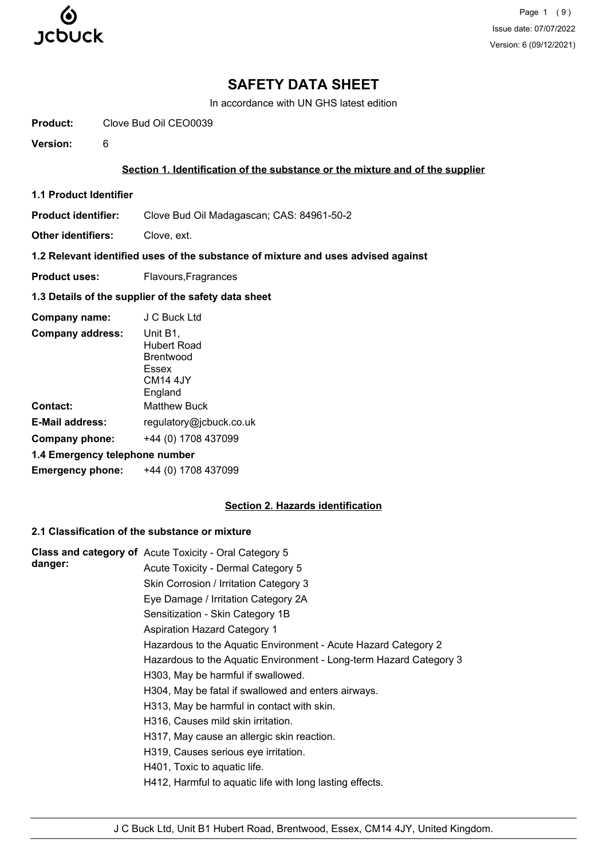

Page 1 (9) Issue date: 07/07/2022 Version: 6 (09/12/2021)

# **SAFETY DATA SHEET**

In accordance with UN GHS latest edition

**Product:** Clove Bud Oil CEO0039

**Version:** 6

#### **Section 1. Identification of the substance or the mixture and of the supplier**

**1.1 Product Identifier**

**Product identifier:** Clove Bud Oil Madagascan; CAS: 84961-50-2

**Other identifiers:** Clove, ext.

# **1.2 Relevant identified uses of the substance of mixture and uses advised against**

**Product uses:** Flavours, Fragrances

# **1.3 Details of the supplier of the safety data sheet**

| Company name:                  | J C Buck Ltd                                                                            |
|--------------------------------|-----------------------------------------------------------------------------------------|
| <b>Company address:</b>        | Unit B1,<br>Hubert Road<br><b>Brentwood</b><br>Essex<br>CM <sub>14</sub> 4JY<br>England |
| <b>Contact:</b>                | <b>Matthew Buck</b>                                                                     |
| E-Mail address:                | regulatory@jcbuck.co.uk                                                                 |
| <b>Company phone:</b>          | +44 (0) 1708 437099                                                                     |
| 1.4 Emergency telephone number |                                                                                         |
| <b>Emergency phone:</b>        | +44 (0) 1708 437099                                                                     |

# **Section 2. Hazards identification**

# **2.1 Classification of the substance or mixture**

|         | Class and category of Acute Toxicity - Oral Category 5             |
|---------|--------------------------------------------------------------------|
| danger: | Acute Toxicity - Dermal Category 5                                 |
|         | Skin Corrosion / Irritation Category 3                             |
|         | Eye Damage / Irritation Category 2A                                |
|         | Sensitization - Skin Category 1B                                   |
|         | <b>Aspiration Hazard Category 1</b>                                |
|         | Hazardous to the Aquatic Environment - Acute Hazard Category 2     |
|         | Hazardous to the Aquatic Environment - Long-term Hazard Category 3 |
|         | H303, May be harmful if swallowed.                                 |
|         | H304, May be fatal if swallowed and enters airways.                |
|         | H313, May be harmful in contact with skin.                         |
|         | H316, Causes mild skin irritation.                                 |
|         | H317, May cause an allergic skin reaction.                         |
|         | H319, Causes serious eye irritation.                               |
|         | H401, Toxic to aquatic life.                                       |
|         | H412, Harmful to aquatic life with long lasting effects.           |
|         |                                                                    |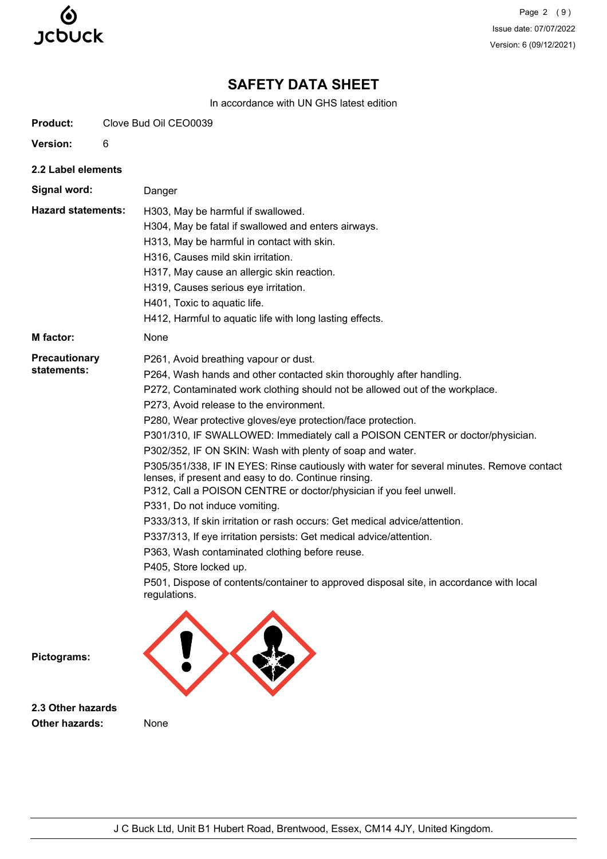

Page 2 (9) Issue date: 07/07/2022 Version: 6 (09/12/2021)

# **SAFETY DATA SHEET**

In accordance with UN GHS latest edition

| <b>Product:</b>                     | Clove Bud Oil CEO0039                                                                                                                                                                                                                                                                                                                                                                                                                                                                                                                                                                                                                                                                                                                                                                                                                                                                                                                                                                                                                                          |  |  |
|-------------------------------------|----------------------------------------------------------------------------------------------------------------------------------------------------------------------------------------------------------------------------------------------------------------------------------------------------------------------------------------------------------------------------------------------------------------------------------------------------------------------------------------------------------------------------------------------------------------------------------------------------------------------------------------------------------------------------------------------------------------------------------------------------------------------------------------------------------------------------------------------------------------------------------------------------------------------------------------------------------------------------------------------------------------------------------------------------------------|--|--|
| Version:                            | 6                                                                                                                                                                                                                                                                                                                                                                                                                                                                                                                                                                                                                                                                                                                                                                                                                                                                                                                                                                                                                                                              |  |  |
| 2.2 Label elements                  |                                                                                                                                                                                                                                                                                                                                                                                                                                                                                                                                                                                                                                                                                                                                                                                                                                                                                                                                                                                                                                                                |  |  |
| Signal word:                        | Danger                                                                                                                                                                                                                                                                                                                                                                                                                                                                                                                                                                                                                                                                                                                                                                                                                                                                                                                                                                                                                                                         |  |  |
| <b>Hazard statements:</b>           | H303, May be harmful if swallowed.<br>H304, May be fatal if swallowed and enters airways.<br>H313, May be harmful in contact with skin.<br>H316, Causes mild skin irritation.<br>H317, May cause an allergic skin reaction.<br>H319, Causes serious eye irritation.<br>H401, Toxic to aquatic life.<br>H412, Harmful to aquatic life with long lasting effects.                                                                                                                                                                                                                                                                                                                                                                                                                                                                                                                                                                                                                                                                                                |  |  |
| <b>M</b> factor:                    | None                                                                                                                                                                                                                                                                                                                                                                                                                                                                                                                                                                                                                                                                                                                                                                                                                                                                                                                                                                                                                                                           |  |  |
| <b>Precautionary</b><br>statements: | P261, Avoid breathing vapour or dust.<br>P264, Wash hands and other contacted skin thoroughly after handling.<br>P272, Contaminated work clothing should not be allowed out of the workplace.<br>P273, Avoid release to the environment.<br>P280, Wear protective gloves/eye protection/face protection.<br>P301/310, IF SWALLOWED: Immediately call a POISON CENTER or doctor/physician.<br>P302/352, IF ON SKIN: Wash with plenty of soap and water.<br>P305/351/338, IF IN EYES: Rinse cautiously with water for several minutes. Remove contact<br>lenses, if present and easy to do. Continue rinsing.<br>P312, Call a POISON CENTRE or doctor/physician if you feel unwell.<br>P331, Do not induce vomiting.<br>P333/313, If skin irritation or rash occurs: Get medical advice/attention.<br>P337/313, If eye irritation persists: Get medical advice/attention.<br>P363, Wash contaminated clothing before reuse.<br>P405, Store locked up.<br>P501, Dispose of contents/container to approved disposal site, in accordance with local<br>regulations. |  |  |
| Pictograms:                         |                                                                                                                                                                                                                                                                                                                                                                                                                                                                                                                                                                                                                                                                                                                                                                                                                                                                                                                                                                                                                                                                |  |  |

**2.3 Other hazards Other hazards:** None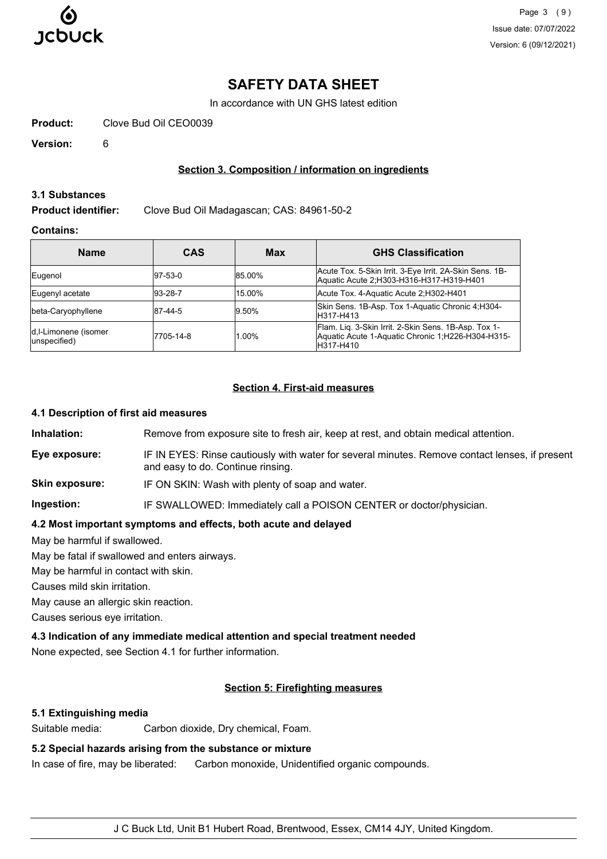

# **SAFETY DATA SHEET**

In accordance with UN GHS latest edition

**Product:** Clove Bud Oil CEO0039

**Version:** 6

# **Section 3. Composition / information on ingredients**

#### **3.1 Substances**

**Product identifier:** Clove Bud Oil Madagascan; CAS: 84961-50-2

### **Contains:**

| <b>Name</b>                          | <b>CAS</b>  | Max    | <b>GHS Classification</b>                                                                                              |
|--------------------------------------|-------------|--------|------------------------------------------------------------------------------------------------------------------------|
| Eugenol                              | $ 97-53-0 $ | 85.00% | Acute Tox. 5-Skin Irrit. 3-Eye Irrit. 2A-Skin Sens. 1B-<br>Aquatic Acute 2; H303-H316-H317-H319-H401                   |
| Eugenyl acetate                      | $ 93-28-7$  | 15.00% | Acute Tox. 4-Aquatic Acute 2;H302-H401                                                                                 |
| beta-Caryophyllene                   | 87-44-5     | 9.50%  | Skin Sens. 1B-Asp. Tox 1-Aquatic Chronic 4:H304-<br>H317-H413                                                          |
| d,I-Limonene (isomer<br>unspecified) | 7705-14-8   | 1.00%  | Flam. Lig. 3-Skin Irrit. 2-Skin Sens. 1B-Asp. Tox 1-<br>Aquatic Acute 1-Aquatic Chronic 1;H226-H304-H315-<br>H317-H410 |

#### **Section 4. First-aid measures**

#### **4.1 Description of first aid measures**

**Inhalation:** Remove from exposure site to fresh air, keep at rest, and obtain medical attention.

- **Eye exposure:** IF IN EYES: Rinse cautiously with water for several minutes. Remove contact lenses, if present and easy to do. Continue rinsing.
- **Skin exposure:** IF ON SKIN: Wash with plenty of soap and water.

**Ingestion:** IF SWALLOWED: Immediately call a POISON CENTER or doctor/physician.

# **4.2 Most important symptoms and effects, both acute and delayed**

May be harmful if swallowed.

May be fatal if swallowed and enters airways.

May be harmful in contact with skin.

Causes mild skin irritation.

May cause an allergic skin reaction.

Causes serious eye irritation.

# **4.3 Indication of any immediate medical attention and special treatment needed**

None expected, see Section 4.1 for further information.

# **Section 5: Firefighting measures**

#### **5.1 Extinguishing media**

Suitable media: Carbon dioxide, Dry chemical, Foam.

# **5.2 Special hazards arising from the substance or mixture**

In case of fire, may be liberated: Carbon monoxide, Unidentified organic compounds.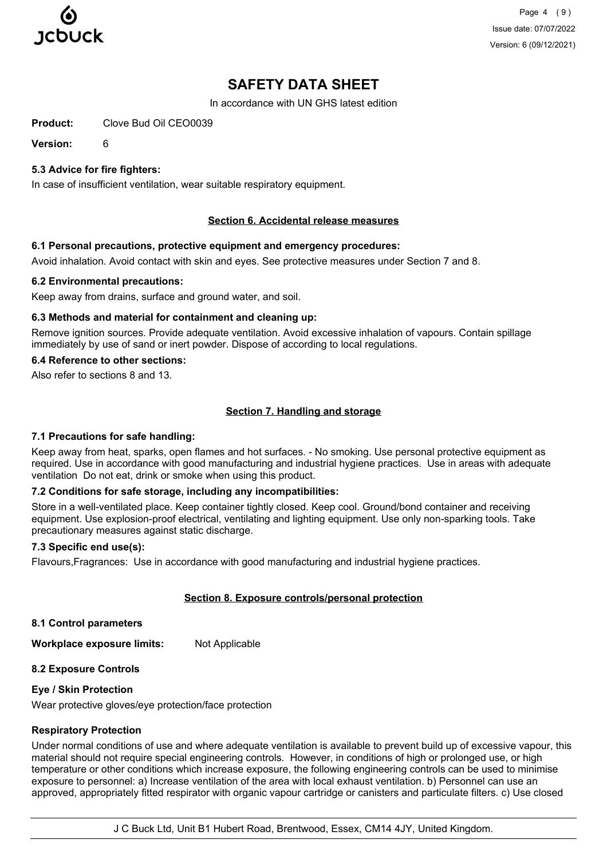

Page 4 (9) Issue date: 07/07/2022 Version: 6 (09/12/2021)

# **SAFETY DATA SHEET**

In accordance with UN GHS latest edition

**Product:** Clove Bud Oil CEO0039

**Version:** 6

# **5.3 Advice for fire fighters:**

In case of insufficient ventilation, wear suitable respiratory equipment.

### **Section 6. Accidental release measures**

#### **6.1 Personal precautions, protective equipment and emergency procedures:**

Avoid inhalation. Avoid contact with skin and eyes. See protective measures under Section 7 and 8.

#### **6.2 Environmental precautions:**

Keep away from drains, surface and ground water, and soil.

#### **6.3 Methods and material for containment and cleaning up:**

Remove ignition sources. Provide adequate ventilation. Avoid excessive inhalation of vapours. Contain spillage immediately by use of sand or inert powder. Dispose of according to local regulations.

#### **6.4 Reference to other sections:**

Also refer to sections 8 and 13.

# **Section 7. Handling and storage**

#### **7.1 Precautions for safe handling:**

Keep away from heat, sparks, open flames and hot surfaces. - No smoking. Use personal protective equipment as required. Use in accordance with good manufacturing and industrial hygiene practices. Use in areas with adequate ventilation Do not eat, drink or smoke when using this product.

#### **7.2 Conditions for safe storage, including any incompatibilities:**

Store in a well-ventilated place. Keep container tightly closed. Keep cool. Ground/bond container and receiving equipment. Use explosion-proof electrical, ventilating and lighting equipment. Use only non-sparking tools. Take precautionary measures against static discharge.

### **7.3 Specific end use(s):**

Flavours,Fragrances: Use in accordance with good manufacturing and industrial hygiene practices.

# **Section 8. Exposure controls/personal protection**

**8.1 Control parameters**

**Workplace exposure limits:** Not Applicable

# **8.2 Exposure Controls**

### **Eye / Skin Protection**

Wear protective gloves/eye protection/face protection

### **Respiratory Protection**

Under normal conditions of use and where adequate ventilation is available to prevent build up of excessive vapour, this material should not require special engineering controls. However, in conditions of high or prolonged use, or high temperature or other conditions which increase exposure, the following engineering controls can be used to minimise exposure to personnel: a) Increase ventilation of the area with local exhaust ventilation. b) Personnel can use an approved, appropriately fitted respirator with organic vapour cartridge or canisters and particulate filters. c) Use closed

J C Buck Ltd, Unit B1 Hubert Road, Brentwood, Essex, CM14 4JY, United Kingdom.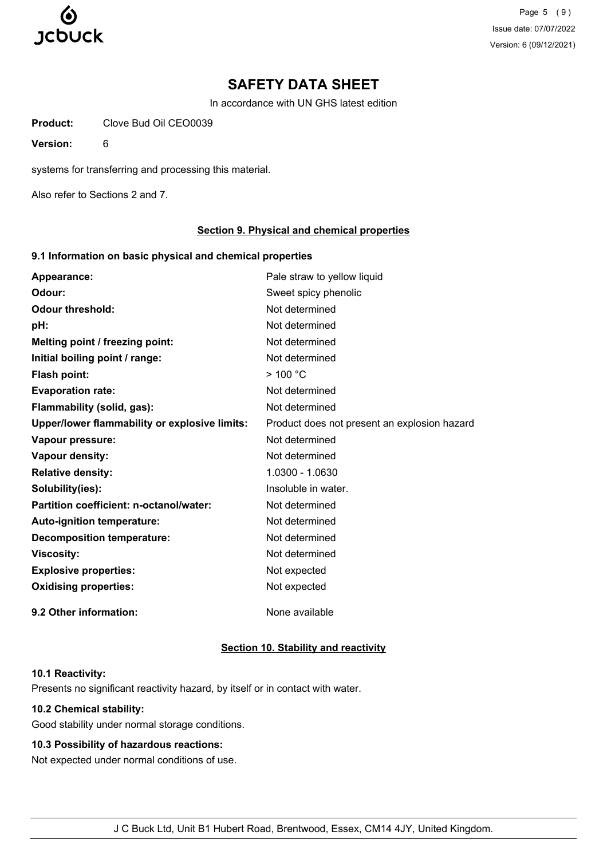

Page 5 (9) Issue date: 07/07/2022 Version: 6 (09/12/2021)

# **SAFETY DATA SHEET**

In accordance with UN GHS latest edition

**Product:** Clove Bud Oil CEO0039

**Version:** 6

systems for transferring and processing this material.

Also refer to Sections 2 and 7.

### **Section 9. Physical and chemical properties**

### **9.1 Information on basic physical and chemical properties**

| Appearance:                                   | Pale straw to yellow liquid                  |
|-----------------------------------------------|----------------------------------------------|
| Odour:                                        | Sweet spicy phenolic                         |
| <b>Odour threshold:</b>                       | Not determined                               |
| pH:                                           | Not determined                               |
| Melting point / freezing point:               | Not determined                               |
| Initial boiling point / range:                | Not determined                               |
| <b>Flash point:</b>                           | >100 °C                                      |
| <b>Evaporation rate:</b>                      | Not determined                               |
| Flammability (solid, gas):                    | Not determined                               |
| Upper/lower flammability or explosive limits: | Product does not present an explosion hazard |
| Vapour pressure:                              | Not determined                               |
| Vapour density:                               | Not determined                               |
| <b>Relative density:</b>                      | 1.0300 - 1.0630                              |
| Solubility(ies):                              | Insoluble in water.                          |
| Partition coefficient: n-octanol/water:       | Not determined                               |
| Auto-ignition temperature:                    | Not determined                               |
| <b>Decomposition temperature:</b>             | Not determined                               |
| <b>Viscosity:</b>                             | Not determined                               |
| <b>Explosive properties:</b>                  | Not expected                                 |
| <b>Oxidising properties:</b>                  | Not expected                                 |
| 9.2 Other information:                        | None available                               |

# **Section 10. Stability and reactivity**

#### **10.1 Reactivity:**

Presents no significant reactivity hazard, by itself or in contact with water.

### **10.2 Chemical stability:**

Good stability under normal storage conditions.

# **10.3 Possibility of hazardous reactions:**

Not expected under normal conditions of use.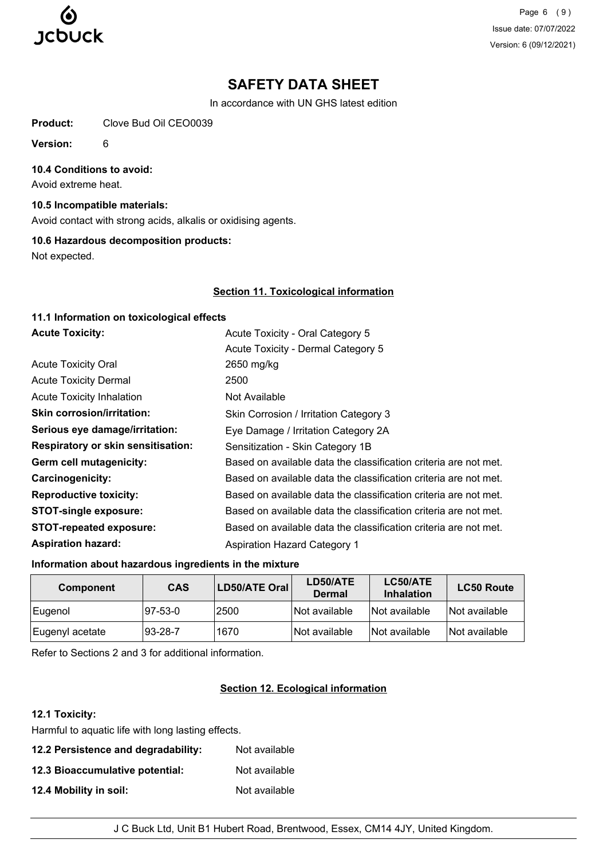

Page 6 (9) Issue date: 07/07/2022 Version: 6 (09/12/2021)

# **SAFETY DATA SHEET**

In accordance with UN GHS latest edition

**Product:** Clove Bud Oil CEO0039

**Version:** 6

#### **10.4 Conditions to avoid:**

Avoid extreme heat.

#### **10.5 Incompatible materials:**

Avoid contact with strong acids, alkalis or oxidising agents.

#### **10.6 Hazardous decomposition products:**

Not expected.

#### **Section 11. Toxicological information**

| 11.1 Information on toxicological effects |                                                                  |
|-------------------------------------------|------------------------------------------------------------------|
| <b>Acute Toxicity:</b>                    | Acute Toxicity - Oral Category 5                                 |
|                                           | Acute Toxicity - Dermal Category 5                               |
| <b>Acute Toxicity Oral</b>                | 2650 mg/kg                                                       |
| <b>Acute Toxicity Dermal</b>              | 2500                                                             |
| <b>Acute Toxicity Inhalation</b>          | Not Available                                                    |
| <b>Skin corrosion/irritation:</b>         | Skin Corrosion / Irritation Category 3                           |
| Serious eye damage/irritation:            | Eye Damage / Irritation Category 2A                              |
| <b>Respiratory or skin sensitisation:</b> | Sensitization - Skin Category 1B                                 |
| Germ cell mutagenicity:                   | Based on available data the classification criteria are not met. |
| Carcinogenicity:                          | Based on available data the classification criteria are not met. |
| <b>Reproductive toxicity:</b>             | Based on available data the classification criteria are not met. |
| <b>STOT-single exposure:</b>              | Based on available data the classification criteria are not met. |
| STOT-repeated exposure:                   | Based on available data the classification criteria are not met. |
| <b>Aspiration hazard:</b>                 | Aspiration Hazard Category 1                                     |

#### **Information about hazardous ingredients in the mixture**

| <b>Component</b> | <b>CAS</b>  | LD50/ATE Oral | LD50/ATE<br><b>Dermal</b> | LC50/ATE<br><b>Inhalation</b> | <b>LC50 Route</b> |
|------------------|-------------|---------------|---------------------------|-------------------------------|-------------------|
| ∣Eugenol         | $ 97-53-0 $ | 2500          | Not available             | Not available                 | Not available     |
| Eugenyl acetate  | $ 93-28-7$  | 1670          | Not available             | Not available                 | Not available     |

Refer to Sections 2 and 3 for additional information.

# **Section 12. Ecological information**

# **12.1 Toxicity:**

Harmful to aquatic life with long lasting effects.

| 12.2 Persistence and degradability: | Not available |
|-------------------------------------|---------------|
| 12.3 Bioaccumulative potential:     | Not available |
| 12.4 Mobility in soil:              | Not available |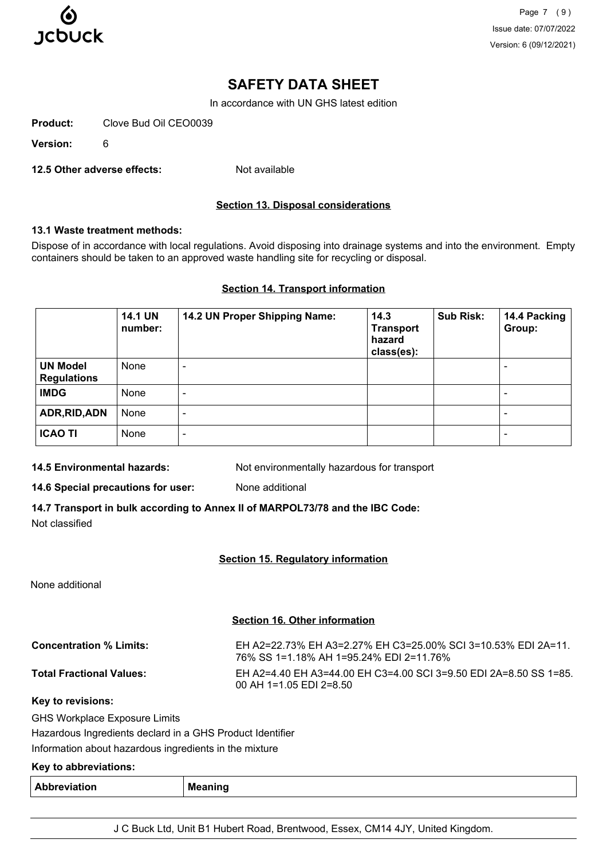

Page 7 (9) Issue date: 07/07/2022 Version: 6 (09/12/2021)

# **SAFETY DATA SHEET**

In accordance with UN GHS latest edition

**Product:** Clove Bud Oil CEO0039

**Version:** 6

**12.5 Other adverse effects:** Not available

# **Section 13. Disposal considerations**

# **13.1 Waste treatment methods:**

Dispose of in accordance with local regulations. Avoid disposing into drainage systems and into the environment. Empty containers should be taken to an approved waste handling site for recycling or disposal.

#### **Section 14. Transport information**

|                                       | <b>14.1 UN</b><br>number: | 14.2 UN Proper Shipping Name: | 14.3<br><b>Transport</b><br>hazard<br>class(es): | <b>Sub Risk:</b> | 14.4 Packing<br>Group:   |
|---------------------------------------|---------------------------|-------------------------------|--------------------------------------------------|------------------|--------------------------|
| <b>UN Model</b><br><b>Regulations</b> | None                      |                               |                                                  |                  | $\overline{\phantom{0}}$ |
| <b>IMDG</b>                           | None                      |                               |                                                  |                  | ۰                        |
| ADR, RID, ADN                         | None                      |                               |                                                  |                  | -                        |
| <b>ICAO TI</b>                        | None                      | ۰                             |                                                  |                  | $\overline{\phantom{0}}$ |

**14.5 Environmental hazards:** Not environmentally hazardous for transport

**14.6 Special precautions for user:** None additional

**14.7 Transport in bulk according to Annex II of MARPOL73/78 and the IBC Code:** Not classified

# **Section 15. Regulatory information**

None additional

# **Section 16. Other information**

| <b>Concentration % Limits:</b>  | EH A2=22.73% EH A3=2.27% EH C3=25.00% SCL 3=10.53% EDL 2A=11.<br>76% SS 1=1.18% AH 1=95.24% EDI 2=11.76% |
|---------------------------------|----------------------------------------------------------------------------------------------------------|
| <b>Total Fractional Values:</b> | EH A2=4.40 EH A3=44.00 EH C3=4.00 SCI 3=9.50 EDI 2A=8.50 SS 1=85.<br>00 AH 1=1.05 EDI 2=8.50             |

**Key to revisions:**

GHS Workplace Exposure Limits Hazardous Ingredients declard in a GHS Product Identifier

Information about hazardous ingredients in the mixture

# **Key to abbreviations:**

| Abbreviation<br>. | <b>Meaning</b><br>$\sim$ |
|-------------------|--------------------------|
|-------------------|--------------------------|

J C Buck Ltd, Unit B1 Hubert Road, Brentwood, Essex, CM14 4JY, United Kingdom.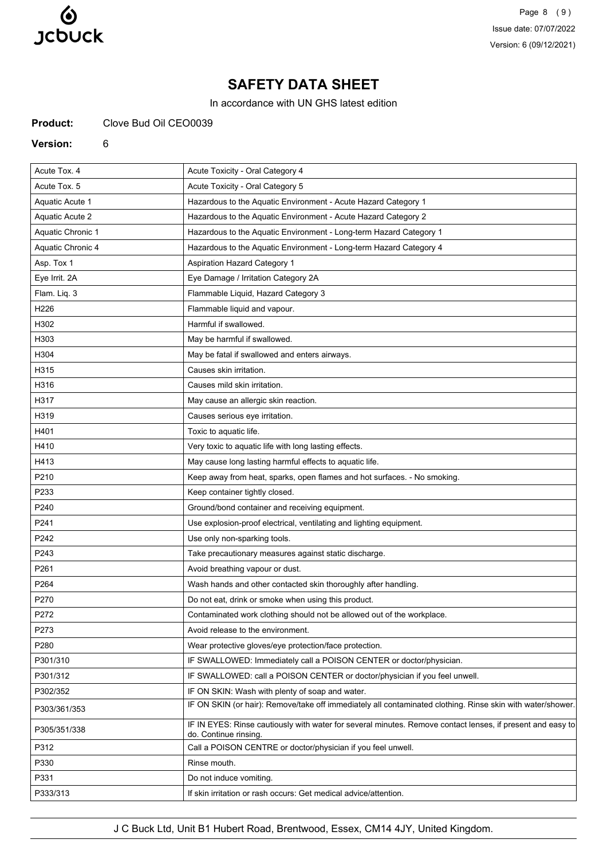

Page 8 (9) Issue date: 07/07/2022 Version: 6 (09/12/2021)

# **SAFETY DATA SHEET**

In accordance with UN GHS latest edition

**Product:** Clove Bud Oil CEO0039

#### **Version:** 6

| Acute Tox. 4      | Acute Toxicity - Oral Category 4                                                                                                   |
|-------------------|------------------------------------------------------------------------------------------------------------------------------------|
| Acute Tox. 5      | Acute Toxicity - Oral Category 5                                                                                                   |
| Aquatic Acute 1   | Hazardous to the Aquatic Environment - Acute Hazard Category 1                                                                     |
| Aquatic Acute 2   | Hazardous to the Aquatic Environment - Acute Hazard Category 2                                                                     |
| Aquatic Chronic 1 | Hazardous to the Aquatic Environment - Long-term Hazard Category 1                                                                 |
| Aquatic Chronic 4 | Hazardous to the Aquatic Environment - Long-term Hazard Category 4                                                                 |
| Asp. Tox 1        | <b>Aspiration Hazard Category 1</b>                                                                                                |
| Eye Irrit. 2A     | Eye Damage / Irritation Category 2A                                                                                                |
| Flam. Liq. 3      | Flammable Liquid, Hazard Category 3                                                                                                |
| H226              | Flammable liquid and vapour.                                                                                                       |
| H302              | Harmful if swallowed.                                                                                                              |
| H303              | May be harmful if swallowed.                                                                                                       |
| H304              | May be fatal if swallowed and enters airways.                                                                                      |
| H315              | Causes skin irritation.                                                                                                            |
| H316              | Causes mild skin irritation.                                                                                                       |
| H317              | May cause an allergic skin reaction.                                                                                               |
| H319              | Causes serious eye irritation.                                                                                                     |
| H401              | Toxic to aquatic life.                                                                                                             |
| H410              | Very toxic to aquatic life with long lasting effects.                                                                              |
| H413              | May cause long lasting harmful effects to aquatic life.                                                                            |
| P210              | Keep away from heat, sparks, open flames and hot surfaces. - No smoking.                                                           |
| P233              | Keep container tightly closed.                                                                                                     |
| P240              | Ground/bond container and receiving equipment.                                                                                     |
| P241              | Use explosion-proof electrical, ventilating and lighting equipment.                                                                |
| P242              | Use only non-sparking tools.                                                                                                       |
| P243              | Take precautionary measures against static discharge.                                                                              |
| P261              | Avoid breathing vapour or dust.                                                                                                    |
| P264              | Wash hands and other contacted skin thoroughly after handling.                                                                     |
| P270              | Do not eat, drink or smoke when using this product.                                                                                |
| P272              | Contaminated work clothing should not be allowed out of the workplace.                                                             |
| P273              | Avoid release to the environment.                                                                                                  |
| P280              | Wear protective gloves/eye protection/face protection.                                                                             |
| P301/310          | IF SWALLOWED: Immediately call a POISON CENTER or doctor/physician.                                                                |
| P301/312          | IF SWALLOWED: call a POISON CENTER or doctor/physician if you feel unwell.                                                         |
| P302/352          | IF ON SKIN: Wash with plenty of soap and water.                                                                                    |
| P303/361/353      | IF ON SKIN (or hair): Remove/take off immediately all contaminated clothing. Rinse skin with water/shower.                         |
| P305/351/338      | IF IN EYES: Rinse cautiously with water for several minutes. Remove contact lenses, if present and easy to<br>do. Continue rinsing |
| P312              | Call a POISON CENTRE or doctor/physician if you feel unwell.                                                                       |
| P330              | Rinse mouth.                                                                                                                       |
| P331              | Do not induce vomiting.                                                                                                            |
| P333/313          | If skin irritation or rash occurs: Get medical advice/attention.                                                                   |